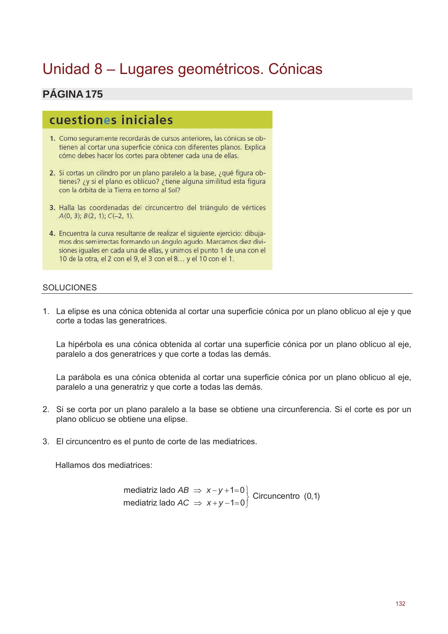# Unidad 8 - Lugares geométricos. Cónicas

#### PÁGINA 175

## cuestiones iniciales

- 1. Como seguramente recordarás de cursos anteriores, las cónicas se obtienen al cortar una superficie cónica con diferentes planos. Explica cómo debes hacer los cortes para obtener cada una de ellas.
- 2. Si cortas un cilindro por un plano paralelo a la base, ¿qué figura obtienes? ¿y si el plano es oblicuo? ¿tiene alguna similitud esta figura con la órbita de la Tierra en torno al Sol?
- 3. Halla las coordenadas del circuncentro del triángulo de vértices  $A(0, 3); B(2, 1); C(-2, 1).$
- 4. Encuentra la curva resultante de realizar el siguiente ejercicio: dibujamos dos semirrectas formando un ángulo agudo. Marcamos diez divisiones iguales en cada una de ellas, y unimos el punto 1 de una con el 10 de la otra, el 2 con el 9, el 3 con el 8... y el 10 con el 1.

#### **SOLUCIONES**

1. La elipse es una cónica obtenida al cortar una superficie cónica por un plano oblicuo al eje y que corte a todas las generatrices.

La hipérbola es una cónica obtenida al cortar una superficie cónica por un plano oblicuo al eje. paralelo a dos generatrices y que corte a todas las demás.

La parábola es una cónica obtenida al cortar una superficie cónica por un plano oblicuo al eje, paralelo a una generatriz y que corte a todas las demás.

- 2. Si se corta por un plano paralelo a la base se obtiene una circunferencia. Si el corte es por un plano oblicuo se obtiene una elipse.
- 3. El circuncentro es el punto de corte de las mediatrices.

Hallamos dos mediatrices:

mediatriz lado 
$$
AB \Rightarrow x-y+1=0
$$
 | Circuncentro (0,1)  
mediatriz lado  $AC \Rightarrow x+y-1=0$  | Circuncentro (0,1)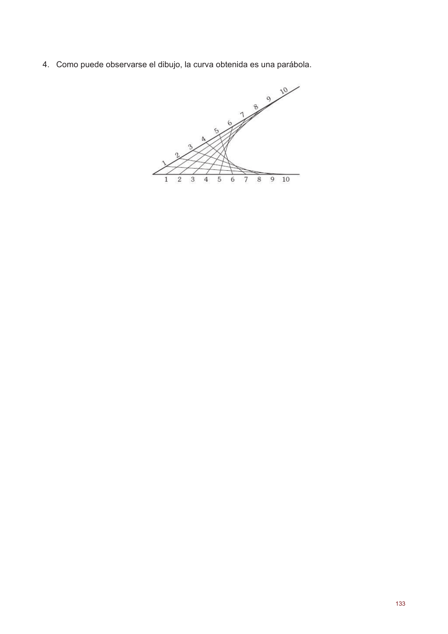4. Como puede observarse el dibujo, la curva obtenida es una parábola.

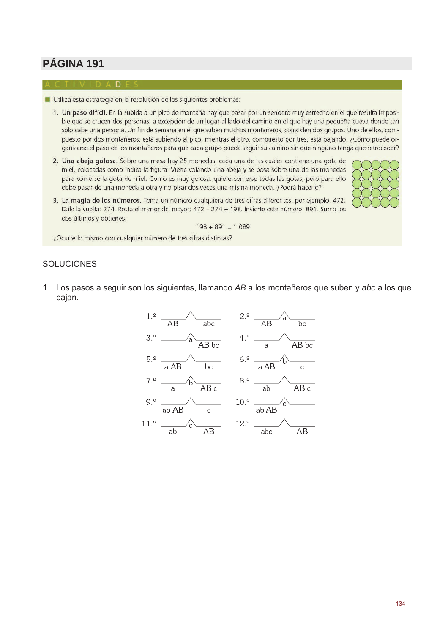- Utiliza esta estrategia en la resolución de los siguientes problemas:
	- 1. Un paso difícil. En la subida a un pico de montaña hay que pasar por un sendero muy estrecho en el que resulta imposible que se crucen dos personas, a excepción de un lugar al lado del camino en el que hay una pequeña cueva donde tan sólo cabe una persona. Un fin de semana en el que suben muchos montañeros, coinciden dos grupos. Uno de ellos, compuesto por dos montañeros, está subiendo al pico, mientras el otro, compuesto por tres, está bajando. ¿Cómo puede organizarse el paso de los montañeros para que cada grupo pueda seguir su camino sin que ninguno tenga que retroceder?
	- 2. Una abeja golosa. Sobre una mesa hay 25 monedas, cada una de las cuales contiene una gota de miel, colocadas como indica la figura. Viene volando una abeja y se posa sobre una de las monedas para comerse la gota de miel. Como es muy golosa, quiere comerse todas las gotas, pero para ello debe pasar de una moneda a otra y no pisar dos veces una misma moneda. ¿Podrá hacerlo?



3. La magia de los números. Toma un número cualquiera de tres cifras diferentes, por ejemplo, 472. Dale la vuelta: 274. Resta el menor del mayor: 472 - 274 = 198. Invierte este número: 891. Suma los dos últimos y obtienes:

 $198 + 891 = 1089$ 

¿Ocurre lo mismo con cualquier número de tres cifras distintas?

#### **SOLUCIONES**

1. Los pasos a seguir son los siguientes, llamando AB a los montañeros que suben y abc a los que bajan.

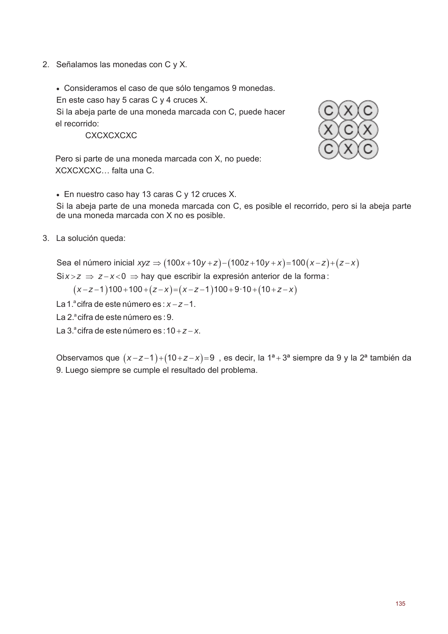2. Señalamos las monedas con C y X.

• Consideramos el caso de que sólo tengamos 9 monedas.

En este caso hay 5 caras C y 4 cruces X.

Si la abeja parte de una moneda marcada con C, puede hacer el recorrido:

**CXCXCXCXC** 

Pero si parte de una moneda marcada con X, no puede: XCXCXCXC... falta una C.

• En nuestro caso hay 13 caras C y 12 cruces X.

Si la abeja parte de una moneda marcada con C, es posible el recorrido, pero si la abeja parte de una moneda marcada con X no es posible.

3. La solución queda:

Sea el número inicial  $xyz \Rightarrow (100x+10y+z)-(100z+10y+x)=100(x-z)+(z-x)$ 

 $\text{Si} x > z \Rightarrow z - x < 0 \Rightarrow$  hay que escribir la expresión anterior de la forma:

 $(x-z-1)100+100+(z-x)=(x-z-1)100+9.10+(10+z-x)$ 

- La 1.<sup>ª</sup> cifra de este número es :  $x z 1$ .
- La 2.ª cifra de este número es : 9.
- La 3.ª cifra de este número es :  $10+z-x$ .

Observamos que  $(x-z-1)+(10+z-x)=9$ , es decir, la  $1^a+3^a$  siempre da 9 y la  $2^a$  también da 9. Luego siempre se cumple el resultado del problema.

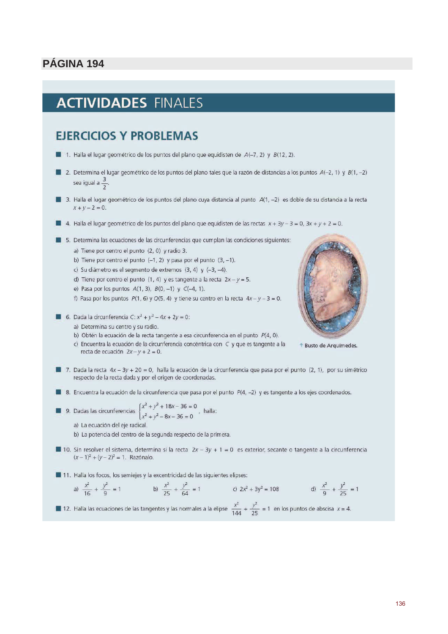# **ACTIVIDADES FINALES**

## **EJERCICIOS Y PROBLEMAS**

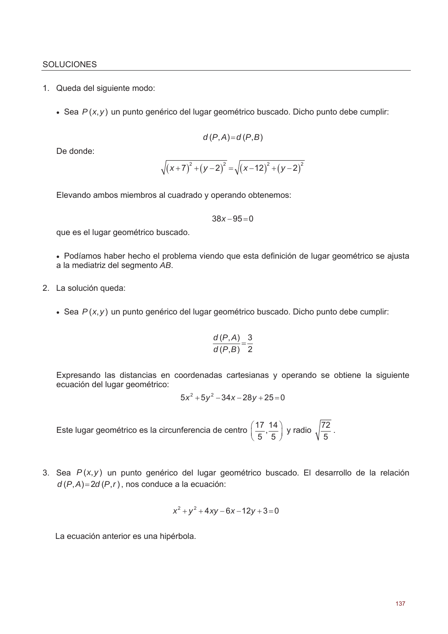#### **SOLUCIONES**

- 1. Queda del siguiente modo:
	- Sea  $P(x, y)$  un punto genérico del lugar geométrico buscado. Dicho punto debe cumplir:

$$
d(P,A)=d(P,B)
$$

De donde:

$$
\sqrt{(x+7)^2 + (y-2)^2} = \sqrt{(x-12)^2 + (y-2)^2}
$$

Elevando ambos miembros al cuadrado y operando obtenemos:

$$
38x - 95 = 0
$$

que es el lugar geométrico buscado.

· Podíamos haber hecho el problema viendo que esta definición de lugar geométrico se ajusta a la mediatriz del segmento AB.

- 2. La solución queda:
	- Sea  $P(x, y)$  un punto genérico del lugar geométrico buscado. Dicho punto debe cumplir:

$$
\frac{d(P,A)}{d(P,B)} = \frac{3}{2}
$$

Expresando las distancias en coordenadas cartesianas y operando se obtiene la siguiente ecuación del lugar geométrico:

$$
5x^2 + 5y^2 - 34x - 28y + 25 = 0
$$

Este lugar geométrico es la circunferencia de centro  $\left(\frac{17}{5},\frac{14}{5}\right)$  y radio  $\sqrt{\frac{72}{5}}$ .

3. Sea  $P(x, y)$  un punto genérico del lugar geométrico buscado. El desarrollo de la relación  $d(P,A)=2d(P,r)$ , nos conduce a la ecuación:

$$
x^2 + y^2 + 4xy - 6x - 12y + 3 = 0
$$

La ecuación anterior es una hipérbola.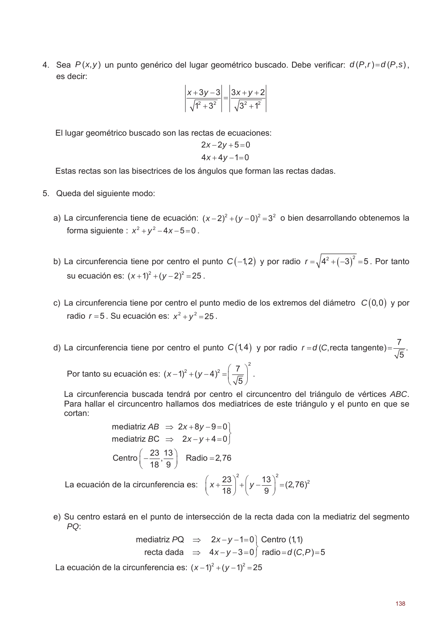4. Sea  $P(x, y)$  un punto genérico del lugar geométrico buscado. Debe verificar:  $d(P,r)=d(P,s)$ . es decir:

$$
\left| \frac{x+3y-3}{\sqrt{1^2+3^2}} \right| = \left| \frac{3x+y+2}{\sqrt{3^2+1^2}} \right|
$$

El lugar geométrico buscado son las rectas de ecuaciones:

$$
2x-2y+5=0
$$
  

$$
4x+4y-1=0
$$

Estas rectas son las bisectrices de los ángulos que forman las rectas dadas.

- 5. Queda del siguiente modo:
	- a) La circunferencia tiene de ecuación:  $(x-2)^2 + (y-0)^2 = 3^2$  o bien desarrollando obtenemos la forma siguiente :  $x^2 + y^2 - 4x - 5 = 0$ .
	- b) La circunferencia tiene por centro el punto  $C(-1,2)$  y por radio  $r = \sqrt{4^2 + (-3)^2} = 5$ . Por tanto su ecuación es:  $(x+1)^2 + (y-2)^2 = 25$ .
	- c) La circunferencia tiene por centro el punto medio de los extremos del diámetro  $C(0,0)$  y por radio  $r = 5$ . Su ecuación es:  $x^2 + y^2 = 25$ .

d) La circunferencia tiene por centro el punto  $C(1,4)$  y por radio  $r = d(C)$ , recta tangente) $=\frac{7}{\sqrt{5}}$ .

Por tanto su ecuación es:  $(x-1)^2 + (y-4)^2 = \left(\frac{7}{\sqrt{5}}\right)^2$ .

La circunferencia buscada tendrá por centro el circuncentro del triángulo de vértices ABC. Para hallar el circuncentro hallamos dos mediatrices de este triángulo y el punto en que se cortan:

mediatriz AB 
$$
\Rightarrow
$$
 2x+8y-9=0  
mediatriz BC  $\Rightarrow$  2x-y+4=0  
Centro  $\left(-\frac{23}{18}, \frac{13}{9}\right)$  Radio = 2,76

La ecuación de la circunferencia es:  $\left(x+\frac{23}{18}\right)^2+\left(y-\frac{13}{9}\right)^2=(2,76)^2$ 

e) Su centro estará en el punto de intersección de la recta dada con la mediatriz del segmento PO:

mediatriz PQ 
$$
\Rightarrow
$$
 2x-y-1=0 [Centro (1,1)  
recta dada  $\Rightarrow$  4x-y-3=0] radio=d(C,P)=5

La ecuación de la circunferencia es:  $(x-1)^2 + (y-1)^2 = 25$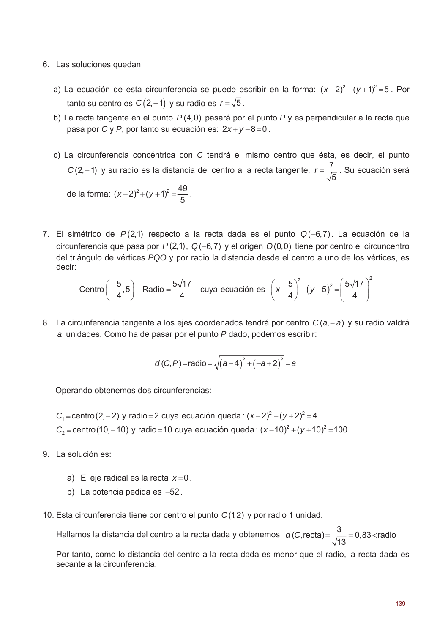- 6. Las soluciones quedan:
	- a) La ecuación de esta circunferencia se puede escribir en la forma:  $(x-2)^2 + (y+1)^2 = 5$ . Por tanto su centro es  $C(2,-1)$  y su radio es  $r = \sqrt{5}$ .
	- b) La recta tangente en el punto  $P(4,0)$  pasará por el punto P y es perpendicular a la recta que pasa por C y P, por tanto su ecuación es:  $2x+y-8=0$ .
	- c) La circunferencia concéntrica con C tendrá el mismo centro que ésta, es decir, el punto C(2,-1) y su radio es la distancia del centro a la recta tangente,  $r = \frac{7}{\sqrt{5}}$ . Su ecuación será de la forma:  $(x-2)^2 + (y+1)^2 = \frac{49}{5}$ .
- 7. El simétrico de  $P(2,1)$  respecto a la recta dada es el punto  $Q(-6,7)$ . La ecuación de la circunferencia que pasa por  $P(2,1)$ ,  $Q(-6,7)$  y el origen  $O(0,0)$  tiene por centro el circuncentro del triángulo de vértices POO y por radio la distancia desde el centro a uno de los vértices, es decir:

Centro 
$$
\left(-\frac{5}{4}, 5\right)
$$
 Radio  $=\frac{5\sqrt{17}}{4}$  cuya ecuación es  $\left(x + \frac{5}{4}\right)^2 + \left(y - 5\right)^2 = \left(\frac{5\sqrt{17}}{4}\right)^2$ 

8. La circunferencia tangente a los ejes coordenados tendrá por centro  $C(a, -a)$  y su radio valdrá a unidades. Como ha de pasar por el punto P dado, podemos escribir:

$$
d(C,P)
$$
=radio= $\sqrt{(a-4)^2+(-a+2)^2}$ =a

Operando obtenemos dos circunferencias:

- $C_1$  = centro (2, 2) y radio = 2 cuya ecuación queda:  $(x-2)^2 + (y+2)^2 = 4$  $C_2$  = centro (10, -10) y radio = 10 cuya ecuación queda:  $(x-10)^2 + (y+10)^2 = 100$
- 9. La solución es:
	- a) El eje radical es la recta  $x=0$ .
	- b) La potencia pedida es  $-52$ .
- 10. Esta circunferencia tiene por centro el punto  $C(1,2)$  y por radio 1 unidad.

Hallamos la distancia del centro a la recta dada y obtenemos:  $d(C, recta) = \frac{3}{\sqrt{13}} = 0,83 <$ radio

Por tanto, como lo distancia del centro a la recta dada es menor que el radio, la recta dada es secante a la circunferencia.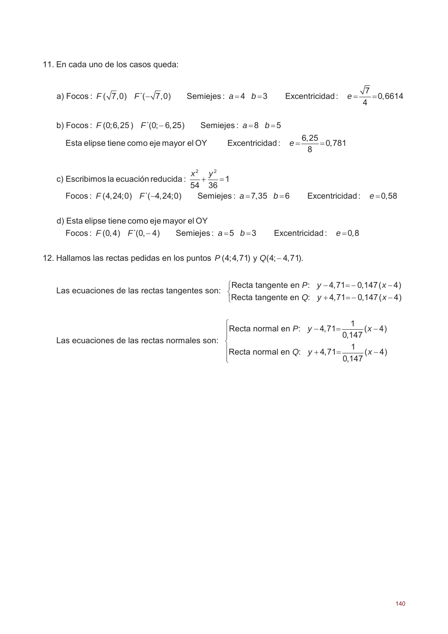- 11. En cada uno de los casos queda:
	- a) Focos:  $F(\sqrt{7},0)$   $F'(-\sqrt{7},0)$  Semiejes:  $a=4$   $b=3$  Excentricidad:  $e=\frac{\sqrt{7}}{4}=0,6614$
	- b) Focos:  $F(0,6,25)$   $F'(0,-6,25)$ Semiejes:  $a=8$   $b=5$ Esta elipse tiene como eje mayor el OY Excentricidad:  $e = \frac{6,25}{8} = 0,781$
	- c) Escribimos la ecuación reducida:  $\frac{x^2}{54} + \frac{y^2}{36} = 1$ Focos:  $F(4, 24; 0)$   $F'(-4, 24; 0)$  Semiejes:  $a=7,35$   $b=6$  Excentricidad:  $e=0,58$
	- d) Esta elipse tiene como eje mayor el OY Focos:  $F(0,4)$   $F'(0,-4)$  Semiejes:  $a=5$   $b=3$  Excentricidad:  $e=0,8$
- 12. Hallamos las rectas pedidas en los puntos  $P(4; 4, 71)$  y  $Q(4; -4, 71)$ .

| Las ecuaciones de las rectas tangentes son: | Recta tangente en P: $y-4,71=-0,147(x-4)$<br>Recta tangente en Q: $y + 4,71 = -0,147(x-4)$ |
|---------------------------------------------|--------------------------------------------------------------------------------------------|
| Las ecuaciones de las rectas normales son:  | Recta normal en P: $y-4,71=\frac{1}{0.147}(x-4)$                                           |
|                                             | Recta normal en Q: $y + 4,71 = \frac{1}{0.147}(x-4)$                                       |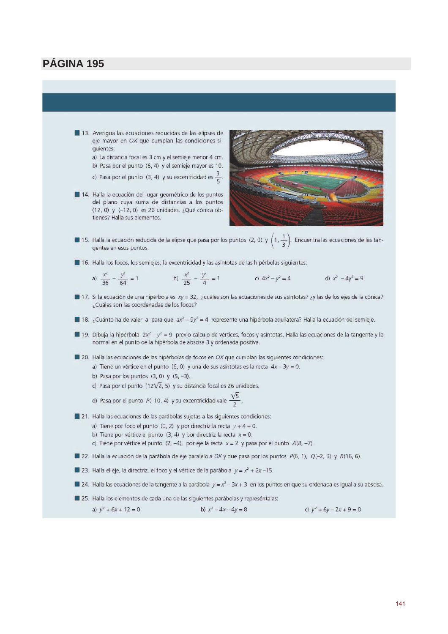13. Averiqua las ecuaciones reducidas de las elipses de eje mayor en OX que cumplan las condiciones siquientes:

a) La distancia focal es 3 cm y el semieje menor 4 cm. b) Pasa por el punto (6, 4) y el semieje mayor es 10.

- c) Pasa por el punto  $(3, 4)$  y su excentricidad es  $\frac{3}{5}$
- 14. Halla la ecuación del lugar geométrico de los puntos del plano cuya suma de distancias a los puntos  $(12, 0)$  y  $(-12, 0)$  es 26 unidades. ¿Qué cónica obtienes? Halla sus elementos.



- 15. Halla la ecuación reducida de la elipse que pasa por los puntos (2, 0) y  $\left(1, \frac{1}{3}\right)$ . Encuentra las ecuaciones de las tangentes en esos puntos.
- 16. Halla los focos, los semiejes, la excentricidad y las asíntotas de las hipérbolas siguientes:

a) 
$$
\frac{x^2}{36} - \frac{y^2}{64} = 1
$$
 b)  $\frac{x^2}{25} - \frac{y^2}{4} = 1$  c)  $4x^2 - y^2 = 4$  d)  $x^2 - 4y^2 = 9$ 

- 17. Si la ecuación de una hipérbola es xy = 32, ¿cuáles son las ecuaciones de sus asíntotas? ¿y las de los ejes de la cónica? ¿Cuáles son las coordenadas de los focos?
- 18. ¿Cuánto ha de valer a para que  $ax^2 9y^2 = 4$  represente una hipérbola equilátera? Halla la ecuación del semieje.
- 19. Dibuja la hipérbola  $2x^2 y^2 = 9$  previo cálculo de vértices, focos y asíntotas. Halla las ecuaciones de la tangente y la normal en el punto de la hipérbola de abscisa 3 y ordenada positiva.

■ 20. Halla las ecuaciones de las hipérbolas de focos en OX que cumplan las siguientes condiciones:

- a) Tiene un vértice en el punto (6, 0) y una de sus asíntotas es la recta  $4x 3y = 0$ .
	- b) Pasa por los puntos  $(3, 0)$  y  $(5, -3)$ .
	- c) Pasa por el punto (12 $\sqrt{2}$ , 5) y su distancia focal es 26 unidades.
	- d) Pasa por el punto  $P(-10, 4)$  y su excentricidad vale  $\frac{\sqrt{5}}{2}$
- 21. Halla las ecuaciones de las parábolas sujetas a las siguientes condiciones:
	- a) Tiene por foco el punto (0, 2) y por directriz la recta  $y + 4 = 0$ .
	- b) Tiene por vértice el punto  $(3, 4)$  y por directriz la recta  $x = 0$ .
	- c) Tiene por vértice el punto  $(2, -4)$ , por eje la recta  $x = 2$  y pasa por el punto  $A(8, -7)$ .
- 22. Halla la ecuación de la parábola de eje paralelo a OX y que pasa por los puntos P(6, 1), Q(-2, 3) y R(16, 6).
- 23. Halla el eje, la directriz, el foco y el vértice de la parábola  $y = x^2 + 2x 15$ .
- 24. Halla las ecuaciones de la tangente a la parábola  $y = x^2 3x + 3$  en los puntos en que su ordenada es igual a su abscisa.
- 25. Halla los elementos de cada una de las siguientes parábolas y represéntalas: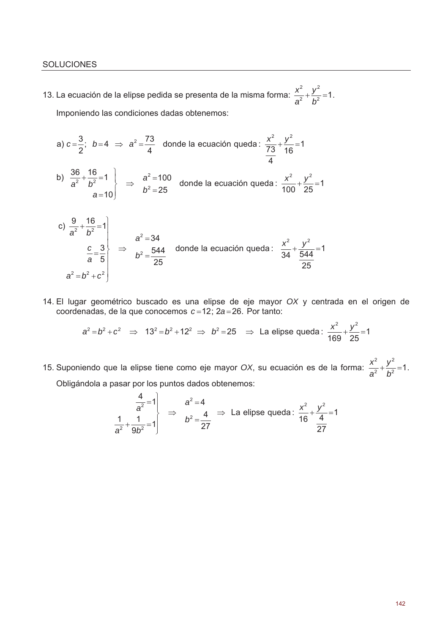13. La ecuación de la elipse pedida se presenta de la misma forma:  $\frac{x^2}{a^2} + \frac{y^2}{b^2} = 1$ . Imponiendo las condiciones dadas obtenemos:

a) 
$$
c = \frac{3}{2}
$$
;  $b = 4 \Rightarrow a^2 = \frac{73}{4}$  donde la ecuación queda :  $\frac{x^2}{\frac{73}{4}} + \frac{y^2}{16} = 1$ 

b)  $\frac{36}{a^2} + \frac{16}{b^2} = 1$ <br> $a = 10$   $\Rightarrow$   $\frac{a^2 = 100}{b^2 = 25}$  donde la ecuación queda:  $\frac{x^2}{100} + \frac{y^2}{25} = 1$ 

c) 
$$
\frac{9}{a^2} + \frac{16}{b^2} = 1
$$
  
 $\frac{c}{a} = \frac{3}{5}$   
 $a^2 = b^2 + c^2$   
 $\left.\begin{array}{c}\n a^2 = 34 \\
 b^2 = \frac{544}{25}\n \end{array}\right.$  donde la ecuación queda :  $\frac{x^2}{34} + \frac{y^2}{\frac{544}{25}} = 1$ 

14. El lugar geométrico buscado es una elipse de eje mayor OX y centrada en el origen de coordenadas, de la que conocemos  $c = 12$ ;  $2a = 26$ . Por tanto:

$$
a^2 = b^2 + c^2 \implies 13^2 = b^2 + 12^2 \implies b^2 = 25 \implies
$$
 La elipse queda :  $\frac{x^2}{169} + \frac{y^2}{25} = 1$ 

15. Suponiendo que la elipse tiene como eje mayor OX, su ecuación es de la forma:  $\frac{x^2}{a^2} + \frac{y^2}{b^2} = 1$ . Obligándola a pasar por los puntos dados obtenemos:

$$
\begin{array}{c|c}\n & a^{2} = 4 \\
\hline\na^{2} + \frac{1}{9b^{2}} = 1\n\end{array} \Rightarrow\n\begin{array}{c}\na^{2} = 4 \\
b^{2} = \frac{4}{27}\n\end{array} \Rightarrow \text{ La elipse queda : } \frac{x^{2}}{16} + \frac{y^{2}}{4} = 1
$$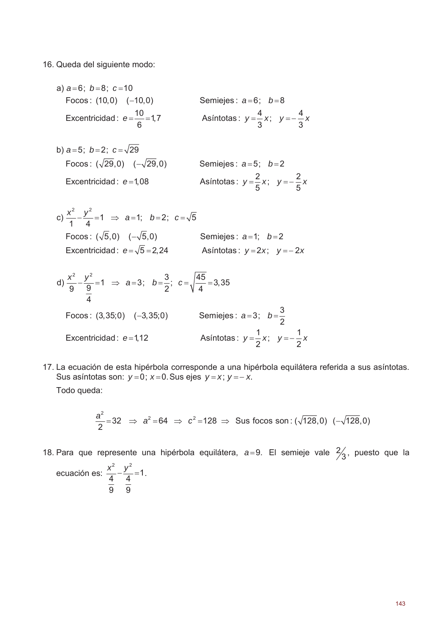16. Queda del siguiente modo:

- a)  $a=6$ ;  $b=8$ ;  $c=10$ Focos:  $(10,0)$   $(-10,0)$ Semiejes:  $a=6$ ;  $b=8$ Excentricidad:  $e = \frac{10}{6} = 1.7$ Asíntotas:  $y = \frac{4}{3}x$ ;  $y = -\frac{4}{3}x$
- b)  $a=5$ ;  $b=2$ ;  $c=\sqrt{29}$ Focos:  $(\sqrt{29},0)$   $(-\sqrt{29},0)$ Semiejes:  $a=5$ ;  $b=2$ Asíntotas:  $y = \frac{2}{5}x$ ;  $y = -\frac{2}{5}x$ Excentricidad:  $e = 1,08$

c) 
$$
\frac{x^2}{1} - \frac{y^2}{4} = 1 \implies a = 1; \quad b = 2; \quad c = \sqrt{5}
$$
  
\nFocos:  $(\sqrt{5}, 0) \quad (-\sqrt{5}, 0)$  Semiejes:  $a = 1; \quad b = 2$   
\nExcentricidad:  $e = \sqrt{5} = 2,24$  Asíntotas:  $y = 2x; \quad y = -2x$ 

d) 
$$
\frac{x^2}{9} - \frac{y^2}{9} = 1 \implies a = 3; \quad b = \frac{3}{2}; \quad c = \sqrt{\frac{45}{4}} = 3,35
$$
  
\nFocos: (3,35;0) (-3,35;0) Semiejes:  $a = 3; \quad b = \frac{3}{2}$   
\nExcentricidad:  $e = 1,12$  Asíntotas:  $y = \frac{1}{2}x; \quad y = -\frac{1}{2}x$ 

17. La ecuación de esta hipérbola corresponde a una hipérbola equilátera referida a sus asíntotas. Sus asíntotas son:  $y=0$ ;  $x=0$ . Sus ejes  $y=x$ ;  $y=-x$ . Todo queda:

$$
\frac{a^2}{2} = 32 \Rightarrow a^2 = 64 \Rightarrow c^2 = 128 \Rightarrow \text{ Sus focus son: } (\sqrt{128}, 0) \; (-\sqrt{128}, 0)
$$

18. Para que represente una hipérbola equilátera,  $a=9$ . El semieje vale  $\frac{2}{3}$ , puesto que la

ecuación es: 
$$
\frac{x^2}{\frac{4}{9}} - \frac{y^2}{\frac{4}{9}} = 1
$$
.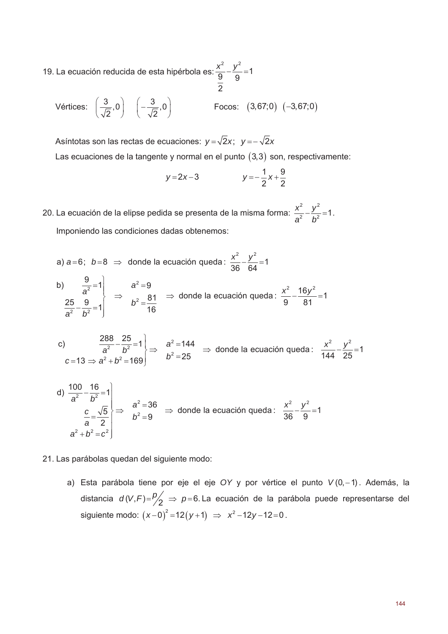19. La ecuación reducida de esta hipérbola es:  $\frac{x^2}{9} - \frac{y^2}{9} = 1$ 

Vértices: 
$$
\left(\frac{3}{\sqrt{2}},0\right) \left(-\frac{3}{\sqrt{2}},0\right)
$$
 Focos:  $(3,67;0) (-3,67;0)$ 

Asíntotas son las rectas de ecuaciones:  $y = \sqrt{2}x$ ;  $y = -\sqrt{2}x$ Las ecuaciones de la tangente y normal en el punto  $(3,3)$  son, respectivamente:

$$
y=2x-3
$$
  $y=-\frac{1}{2}x+\frac{9}{2}$ 

20. La ecuación de la elipse pedida se presenta de la misma forma:  $\frac{x^2}{a^2} - \frac{y^2}{h^2} = 1$ . Imponiendo las condiciones dadas obtenemos:

a)  $a=6$ ;  $b=8$   $\Rightarrow$  donde la ecuación queda:  $\frac{x^2}{36} - \frac{y^2}{64} = 1$ b)  $\frac{9}{a^2} = 1$ <br>  $\frac{25}{a^2} = \frac{9}{b^2} = 1$   $\Rightarrow$   $\frac{a^2 = 9}{b^2 = \frac{81}{16}}$   $\Rightarrow$  donde la ecuación queda:  $\frac{x^2}{9} - \frac{16y^2}{81} = 1$ 

c) 
$$
\frac{288}{a^2} - \frac{25}{b^2} = 1 \}\Rightarrow a^2 = 144 \Rightarrow \text{donde la ecuación queda: } \frac{x^2}{144} - \frac{y^2}{25} = 1
$$
  
c = 13  $\Rightarrow$  a<sup>2</sup> + b<sup>2</sup> = 169

d) 
$$
\frac{100}{a^2} - \frac{16}{b^2} = 1
$$
  
\n $\frac{c}{a} = \frac{\sqrt{5}}{2}$   
\n $a^2 + b^2 = c^2$ \n $\left.\begin{matrix}\n\frac{a^2}{b^2} = 36 \\
\frac{b^2}{b^2} = 9\n\end{matrix}\right\}$  and  $\frac{a^2 - 36}{b^2} \Rightarrow$  do  
\n $\Rightarrow$  do  
\n $\Rightarrow$  do  
\n $\Rightarrow$  do  
\n $\Rightarrow$  do  
\n $\Rightarrow$  do  
\n $\Rightarrow$  do  
\n $\Rightarrow$  do  
\n $\Rightarrow$  do  
\n $\Rightarrow$  do  
\n $\Rightarrow$  do  
\n $\Rightarrow$  do  
\n $\Rightarrow$  do  
\n $\Rightarrow$  do  
\n $\Rightarrow$  do  
\n $\Rightarrow$  do  
\n $\Rightarrow$  do  
\n $\Rightarrow$  do  
\n $\Rightarrow$  do  
\n $\Rightarrow$  do  
\n $\Rightarrow$  do  
\n $\Rightarrow$  do  
\n $\Rightarrow$  do  
\n $\Rightarrow$  do  
\n $\Rightarrow$  do  
\n $\Rightarrow$  do  
\n $\Rightarrow$  do  
\n $\Rightarrow$  do  
\n $\Rightarrow$  do  
\n $\Rightarrow$  do  
\n $\Rightarrow$  do  
\n $\Rightarrow$  do  
\n $\Rightarrow$  do  
\n $\Rightarrow$  do  
\n $\Rightarrow$  do  
\n $\Rightarrow$  do  
\n $\Rightarrow$  do  
\n $\Rightarrow$  do  
\n $\Rightarrow$  do  
\n $\Rightarrow$  do  
\n $\Rightarrow$  do  
\n $\Rightarrow$  do  
\n $\Rightarrow$  do  
\n $\Rightarrow$  do  
\n $\Rightarrow$  do  
\n $\Rightarrow$  do  
\n $\Rightarrow$  do  
\n $\Rightarrow$  do  
\n $\Rightarrow$  do  
\n $\Rightarrow$  do  
\n $\Rightarrow$  do  
\n $\Rightarrow$  do  
\n $\Rightarrow$  do  
\n $\Rightarrow$  do  
\n $\Rightarrow$  do  
\n $\Rightarrow$  do  
\n $\Rightarrow$ 

21. Las parábolas quedan del siguiente modo:

a) Esta parábola tiene por eje el eje OY y por vértice el punto  $V(0,-1)$ . Además, la distancia  $d(V,F)=\frac{p}{2} \Rightarrow p=6$ . La ecuación de la parábola puede representarse del siguiente modo:  $(x-0)^2 = 12(y+1) \Rightarrow x^2 - 12y - 12 = 0$ .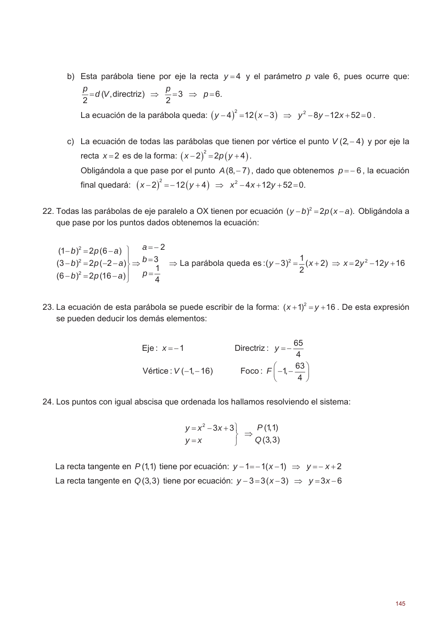- b) Esta parábola tiene por eje la recta  $y=4$  y el parámetro p vale 6, pues ocurre que:  $\frac{p}{2}$ =d(V, directriz)  $\Rightarrow$   $\frac{p}{2}$ =3  $\Rightarrow$  p=6. La ecuación de la parábola queda:  $(y-4)^2 = 12(x-3) \Rightarrow y^2 - 8y - 12x + 52 = 0$ .
- c) La ecuación de todas las parábolas que tienen por vértice el punto  $V(2, -4)$  y por eje la recta  $x = 2$  es de la forma:  $(x-2)^2 = 2p(y+4)$ . Obligándola a que pase por el punto  $A(8, -7)$ , dado que obtenemos  $p = -6$ , la ecuación final quedará:  $(x-2)^2 = -12(y+4) \Rightarrow x^2 - 4x + 12y + 52 = 0$ .
- 22. Todas las parábolas de eje paralelo a OX tienen por ecuación  $(y b)^2 = 2p(x a)$ . Obligándola a que pase por los puntos dados obtenemos la ecuación:

 $(1-b)^2 = 2p(6-a)$ <br>  $(3-b)^2 = 2p(-2-a)$ <br>  $\Rightarrow$   $\Rightarrow$   $\Rightarrow$   $\Rightarrow$  La parábola queda es :(y-3)<sup>2</sup> =  $\frac{1}{2}(x+2)$  ⇒ x=2y<sup>2</sup> -12y +16<br>  $(6-b)^2 = 2p(16-a)$ <br>  $p = \frac{1}{4}$ 

23. La ecuación de esta parábola se puede escribir de la forma:  $(x+1)^2 = y + 16$ . De esta expresión se pueden deducir los demás elementos:

| Eje: $x = -1$         | Directriz: $y=-\frac{65}{4}$            |
|-----------------------|-----------------------------------------|
| Vértice : $V(-1,-16)$ | Foco: $F\left(-1, -\frac{63}{4}\right)$ |

24. Los puntos con igual abscisa que ordenada los hallamos resolviendo el sistema:

$$
\begin{array}{c}\ny = x^2 - 3x + 3 \\
y = x\n\end{array} \Rightarrow \begin{array}{c}\nP(1,1) \\
Q(3,3)\n\end{array}
$$

La recta tangente en  $P(1,1)$  tiene por ecuación:  $y-1=-1(x-1) \Rightarrow y=-x+2$ La recta tangente en Q(3,3) tiene por ecuación:  $y-3=3(x-3) \Rightarrow y=3x-6$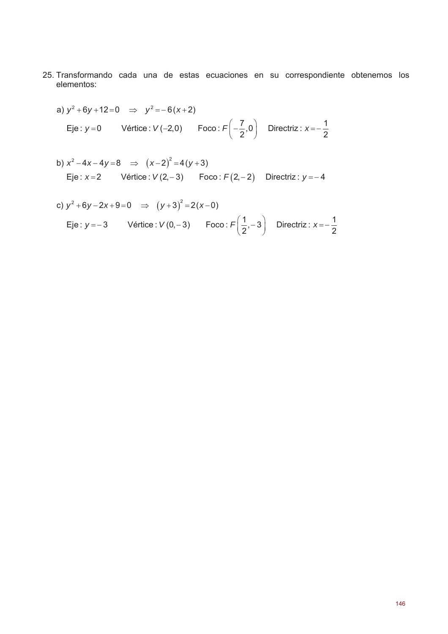- 25. Transformando cada una de estas ecuaciones en su correspondiente obtenemos los elementos:
	- a)  $y^2 + 6y + 12 = 0$   $\Rightarrow$   $y^2 = -6(x+2)$ Eje:  $y=0$  Vértice:  $V(-2,0)$  Foco:  $F\left(-\frac{7}{2},0\right)$  Directriz:  $x=-\frac{1}{2}$
	- b)  $x^2-4x-4y=8$   $\implies$   $(x-2)^2=4(y+3)$ Eje:  $x=2$  Vértice:  $V(2,-3)$  Foco:  $F(2,-2)$  Directriz:  $y=-4$

c) 
$$
y^2 + 6y - 2x + 9 = 0 \implies (y+3)^2 = 2(x-0)
$$
  
Eje:  $y = -3$  Vértice:  $V(0, -3)$  Foco:  $F(\frac{1}{2}, -3)$  Directriz:  $x = -\frac{1}{2}$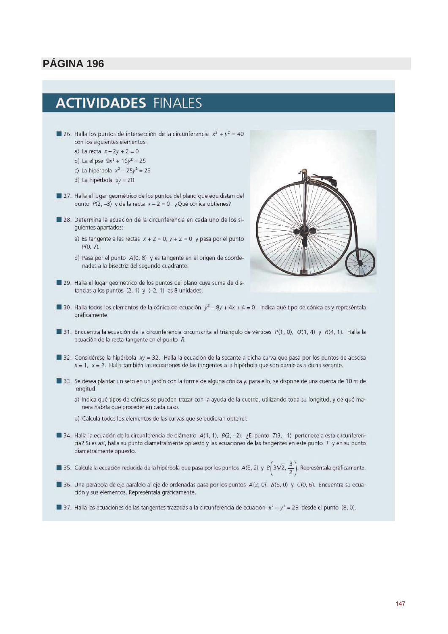# **ACTIVIDADES FINALES**

- 26. Halla los puntos de intersección de la circunferencia  $x^2 + y^2 = 40$ con los siguientes elementos: a) La recta  $x - 2y + 2 = 0$ b) La elipse  $9x^2 + 16y^2 = 25$ 
	- c) La hipérbola  $x^2 25y^2 = 25$
	- d) La hipérbola  $xy = 20$
	-
- 27. Halla el lugar geométrico de los puntos del plano que equidistan del punto  $P(2, -3)$  y de la recta  $x - 2 = 0$ . ¿Qué cónica obtienes?
- 28. Determina la ecuación de la circunferencia en cada uno de los siguientes apartados:
	- a) Es tangente a las rectas  $x + 2 = 0$ ,  $y + 2 = 0$  y pasa por el punto  $P(0, 7)$ .
	- b) Pasa por el punto A(0, 8) y es tangente en el origen de coordenadas a la bisectriz del segundo cuadrante.



- 29. Halla el lugar geométrico de los puntos del plano cuya suma de distancias a los puntos  $(2, 1)$  y  $(-2, 1)$  es 8 unidades.
- 30. Halla todos los elementos de la cónica de ecuación  $y^2 8y + 4x + 4 = 0$ . Indica qué tipo de cónica es y represéntala gráficamente.
- 31. Encuentra la ecuación de la circunferencia circunscrita al triángulo de vértices  $P(1, 0)$ ,  $Q(1, 4)$  y  $R(4, 1)$ . Halla la ecuación de la recta tangente en el punto R.
- 32. Considérese la hipérbola  $xy = 32$ . Halla la ecuación de la secante a dicha curva que pasa por los puntos de abscisa  $x = 1$ ,  $x = 2$ . Halla también las ecuaciones de las tangentes a la hipérbola que son paralelas a dicha secante.
- 33. Se desea plantar un seto en un jardín con la forma de alguna cónica y, para ello, se dispone de una cuerda de 10 m de longitud:
	- a) Indica qué tipos de cónicas se pueden trazar con la ayuda de la cuerda, utilizando toda su longitud, y de qué manera habría que proceder en cada caso.
	- b) Calcula todos los elementos de las curvas que se pudieran obtener.
- 34. Halla la ecuación de la circunferencia de diámetro A(1, 1), B(2, -2). ¿El punto T(3, -1) pertenece a esta circunferencia? Si es así, halla su punto diametralmente opuesto y las ecuaciones de las tangentes en este punto  $T$  y en su punto diametralmente opuesto.

35. Calcula la ecuación reducida de la hipérbola que pasa por los puntos A(5, 2) y  $B\left(3\sqrt{2},\frac{3}{2}\right)$ . Represéntala gráficamente.

36. Una parábola de eje paralelo al eje de ordenadas pasa por los puntos A(2, 0), B(6, 0) y C(0, 6). Encuentra su ecuación y sus elementos. Represéntala gráficamente.

37. Halla las ecuaciones de las tangentes trazadas a la circunferencia de ecuación  $x^2 + y^2 = 25$  desde el punto (8, 0).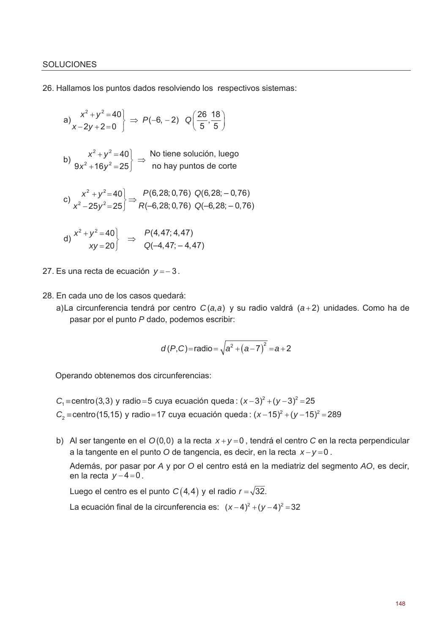26. Hallamos los puntos dados resolviendo los respectivos sistemas:

a) 
$$
\begin{aligned}\nx^2 + y^2 &= 40 \\
x - 2y + 2 &= 0\n\end{aligned}\n\Rightarrow P(-6, -2) Q\left(\frac{26}{5}, \frac{18}{5}\right)
$$
\nb) 
$$
\begin{aligned}\nx^2 + y^2 &= 40 \\
9x^2 + 16y^2 &= 25\n\end{aligned}\n\Rightarrow \text{ No tiene solution, luego}\n\nc) 
$$
\begin{aligned}\nx^2 + y^2 &= 40 \\
x^2 - 25y^2 &= 25\n\end{aligned}\n\Rightarrow \begin{aligned}\nP(6, 28; 0, 76) Q(6, 28; -0, 76) \\
P(-6, 28; 0, 76) Q(-6, 28; -0, 76) \\
Q(-6, 28; -0, 76)\n\end{aligned}
$$
\nd) 
$$
\begin{aligned}\nx^2 + y^2 &= 40 \\
xy &= 20\n\end{aligned}\n\Rightarrow \begin{aligned}\nP(4, 47; 4, 47) \\
Q(-4, 47; -4, 47)\n\end{aligned}
$$
$$

27. Es una recta de ecuación  $y = -3$ .

28. En cada uno de los casos quedará:

a)La circunferencia tendrá por centro  $C(a,a)$  y su radio valdrá  $(a+2)$  unidades. Como ha de pasar por el punto P dado, podemos escribir:

$$
d(P,C)
$$
=radio= $\sqrt{a^2 + (a-7)^2} = a+2$ 

Operando obtenemos dos circunferencias:

- $C_1$  = centro (3,3) y radio = 5 cuya ecuación queda:  $(x-3)^2 + (y-3)^2 = 25$  $C_2$  = centro (15,15) y radio = 17 cuya ecuación queda:  $(x-15)^2 + (y-15)^2 = 289$
- b) Al ser tangente en el  $O(0,0)$  a la recta  $x+y=0$ , tendrá el centro C en la recta perpendicular a la tangente en el punto O de tangencia, es decir, en la recta  $x - y = 0$ . Además, por pasar por A y por O el centro está en la mediatriz del segmento AO, es decir, en la recta  $v-4=0$ .

Luego el centro es el punto  $C(4,4)$  y el radio  $r = \sqrt{32}$ .

La ecuación final de la circunferencia es:  $(x-4)^2 + (y-4)^2 = 32$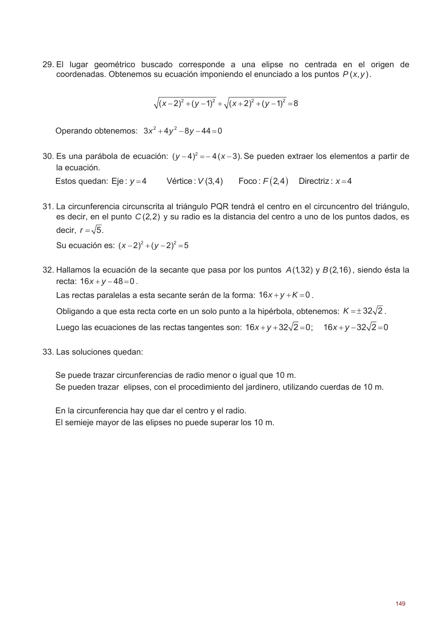29. El lugar geométrico buscado corresponde a una elipse no centrada en el origen de coordenadas. Obtenemos su ecuación imponiendo el enunciado a los puntos  $P(x, y)$ .

$$
\sqrt{(x-2)^2+(y-1)^2}+\sqrt{(x+2)^2+(y-1)^2}=8
$$

Operando obtenemos:  $3x^2 + 4y^2 - 8y - 44 = 0$ 

30. Es una parábola de ecuación:  $(y-4)^2 = -4(x-3)$ . Se pueden extraer los elementos a partir de la ecuación.

Estos quedan: Eje:  $y=4$  Vértice:  $V(3,4)$  Foco:  $F(2,4)$  Directriz:  $x=4$ 

31. La circunferencia circunscrita al triángulo PQR tendrá el centro en el circuncentro del triángulo, es decir, en el punto  $C(2,2)$  y su radio es la distancia del centro a uno de los puntos dados, es decir.  $r = \sqrt{5}$ .

Su ecuación es:  $(x-2)^2 + (y-2)^2 = 5$ 

32. Hallamos la ecuación de la secante que pasa por los puntos A(1,32) y B(2,16), siendo ésta la recta:  $16x + y - 48 = 0$ .

Las rectas paralelas a esta secante serán de la forma:  $16x + y + K = 0$ .

Obligando a que esta recta corte en un solo punto a la hipérbola, obtenemos:  $K = \pm 32\sqrt{2}$ .

Luego las ecuaciones de las rectas tangentes son:  $16x + y + 32\sqrt{2} = 0$ ;  $16x + y - 32\sqrt{2} = 0$ 

33. Las soluciones quedan:

Se puede trazar circunferencias de radio menor o iqual que 10 m. Se pueden trazar elipses, con el procedimiento del jardinero, utilizando cuerdas de 10 m.

En la circunferencia hay que dar el centro y el radio. El semieje mayor de las elipses no puede superar los 10 m.